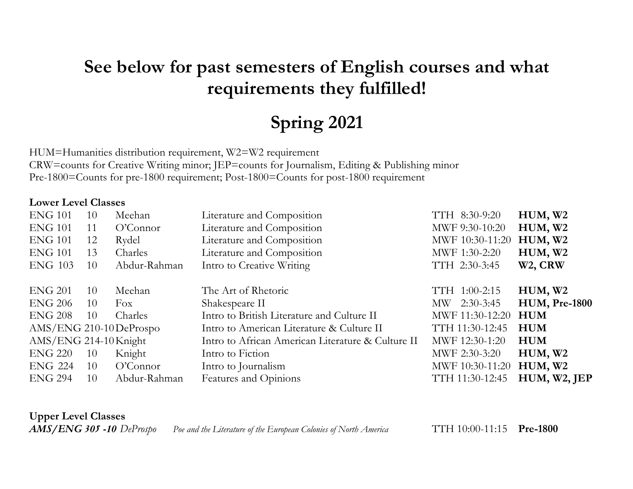# **See below for past semesters of English courses and what requirements they fulfilled!**

# **Spring 2021**

HUM=Humanities distribution requirement, W2=W2 requirement CRW=counts for Creative Writing minor; JEP=counts for Journalism, Editing & Publishing minor Pre-1800=Counts for pre-1800 requirement; Post-1800=Counts for post-1800 requirement

#### **Lower Level Classes**

| <b>ENG 101</b>          | 10 | Meehan       | Literature and Composition                        | TTH 8:30-9:20   | HUM, W2              |
|-------------------------|----|--------------|---------------------------------------------------|-----------------|----------------------|
| <b>ENG 101</b>          | 11 | O'Connect    | Literature and Composition                        | MWF 9:30-10:20  | HUM, W2              |
| <b>ENG 101</b>          | 12 | Rydel        | Literature and Composition                        | MWF 10:30-11:20 | HUM, W2              |
| <b>ENG 101</b>          | 13 | Charles      | Literature and Composition                        | MWF 1:30-2:20   | HUM, W2              |
| <b>ENG 103</b>          | 10 | Abdur-Rahman | Intro to Creative Writing                         | TTH 2:30-3:45   | W <sub>2</sub> , CRW |
|                         |    |              |                                                   |                 |                      |
| <b>ENG 201</b>          | 10 | Meehan       | The Art of Rhetoric                               | TTH 1:00-2:15   | HUM, W2              |
| <b>ENG 206</b>          | 10 | Fox          | Shakespeare II                                    | MW 2:30-3:45    | <b>HUM, Pre-1800</b> |
| <b>ENG 208</b>          | 10 | Charles      | Intro to British Literature and Culture II        | MWF 11:30-12:20 | <b>HUM</b>           |
| AMS/ENG 210-10 DeProspo |    |              | Intro to American Literature & Culture II         | TTH 11:30-12:45 | <b>HUM</b>           |
| $AMS/ENG$ 214-10 Knight |    |              | Intro to African American Literature & Culture II | MWF 12:30-1:20  | <b>HUM</b>           |
| <b>ENG 220</b>          | 10 | Knight       | Intro to Fiction                                  | MWF 2:30-3:20   | HUM, W2              |
| <b>ENG 224</b>          | 10 | O'Connect    | Intro to Journalism                               | MWF 10:30-11:20 | HUM, W2              |
| <b>ENG 294</b>          | 10 | Abdur-Rahman | Features and Opinions                             | TTH 11:30-12:45 | HUM, W2, JEP         |

**Upper Level Classes**

*AMS/ENG 305 -10 DeProspo Poe and the Literature of the European Colonies of North America* TTH 10:00-11:15 **Pre-1800**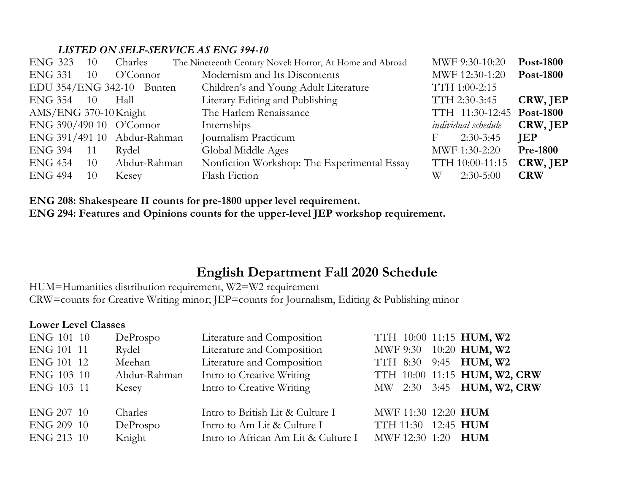#### *LISTED ON SELF-SERVICE AS ENG 394-10*

| <b>ENG 323</b>        | 10  | Charles                     | The Nineteenth Century Novel: Horror, At Home and Abroad |   | MWF 9:30-10:20            | <b>Post-1800</b> |
|-----------------------|-----|-----------------------------|----------------------------------------------------------|---|---------------------------|------------------|
| ENG 331               | 10  | O'Connect                   | Modernism and Its Discontents                            |   | MWF 12:30-1:20            | <b>Post-1800</b> |
|                       |     | EDU $354/ENG$ 342-10 Bunten | Children's and Young Adult Literature                    |   | TTH 1:00-2:15             |                  |
| ENG 354 10            |     | Hall                        | Literary Editing and Publishing                          |   | TTH 2:30-3:45             | CRW, JEP         |
| AMS/ENG 370-10 Knight |     |                             | The Harlem Renaissance                                   |   | TTH 11:30-12:45 Post-1800 |                  |
|                       |     | ENG 390/490 10 O'Connor     | Internships                                              |   | individual schedule       | CRW, JEP         |
|                       |     | ENG 391/491 10 Abdur-Rahman | Journalism Practicum                                     | F | $2:30-3:45$               | JEP              |
| ENG 394               | -11 | Rydel                       | Global Middle Ages                                       |   | MWF 1:30-2:20             | <b>Pre-1800</b>  |
| ENG 454               | 10  | Abdur-Rahman                | Nonfiction Workshop: The Experimental Essay              |   | TTH 10:00-11:15           | CRW, JEP         |
| <b>ENG 494</b>        | 10  | Kesey                       | Flash Fiction                                            | W | $2:30-5:00$               | <b>CRW</b>       |

**ENG 208: Shakespeare II counts for pre-1800 upper level requirement. ENG 294: Features and Opinions counts for the upper-level JEP workshop requirement.**

#### **English Department Fall 2020 Schedule**

HUM=Humanities distribution requirement, W2=W2 requirement CRW=counts for Creative Writing minor; JEP=counts for Journalism, Editing & Publishing minor

#### **Lower Level Classes**

| ENG 101 10 | DeProspo     | Literature and Composition          | TTH 10:00 11:15 HUM, W2      |                                  |
|------------|--------------|-------------------------------------|------------------------------|----------------------------------|
| ENG 101 11 | Rydel        | Literature and Composition          | MWF 9:30 10:20 HUM, W2       |                                  |
| ENG 101 12 | Meehan       | Literature and Composition          | TTH 8:30 9:45 <b>HUM, W2</b> |                                  |
| ENG 103 10 | Abdur-Rahman | Intro to Creative Writing           |                              | TTH 10:00 11:15 HUM, W2, CRW     |
| ENG 103 11 | Kesey        | Intro to Creative Writing           |                              | MW 2:30 3:45 <b>HUM, W2, CRW</b> |
|            |              |                                     |                              |                                  |
| ENG 207 10 | Charles      | Intro to British Lit & Culture I    | MWF 11:30 12:20 HUM          |                                  |
| ENG 209 10 | DeProspo     | Intro to Am Lit & Culture I         | TTH 11:30 12:45 HUM          |                                  |
| ENG 213 10 | Knight       | Intro to African Am Lit & Culture I | MWF 12:30 1:20 <b>HUM</b>    |                                  |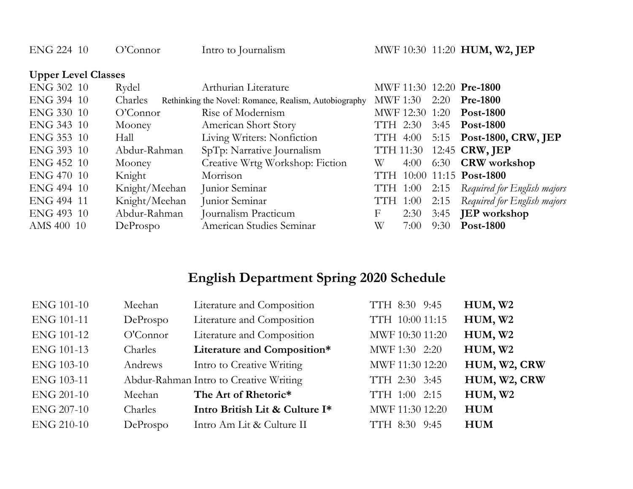| ENG 224 10                 | O'Connor      | Intro to Journalism                                   |                           |      |      | MWF 10:30 11:20 HUM, W2, JEP  |  |
|----------------------------|---------------|-------------------------------------------------------|---------------------------|------|------|-------------------------------|--|
| <b>Upper Level Classes</b> |               |                                                       |                           |      |      |                               |  |
| ENG 302 10                 | Rydel         | Arthurian Literature                                  |                           |      |      | MWF 11:30 12:20 Pre-1800      |  |
| ENG 394 10                 | Charles       | Rethinking the Novel: Romance, Realism, Autobiography | MWF 1:30                  |      | 2:20 | <b>Pre-1800</b>               |  |
| ENG 330 10                 | O'Connect     | Rise of Modernism                                     | MWF 12:30 1:20            |      |      | <b>Post-1800</b>              |  |
| ENG 343 10                 | Mooney        | American Short Story                                  | TTH 2:30                  |      | 3:45 | <b>Post-1800</b>              |  |
| ENG 353 10                 | Hall          | Living Writers: Nonfiction                            | TTH 4:00                  |      |      | 5:15 Post-1800, CRW, JEP      |  |
| ENG 393 10                 | Abdur-Rahman  | SpTp: Narrative Journalism                            | <b>TTH 11:30</b>          |      |      | 12:45 <b>CRW</b> , <b>JEP</b> |  |
| ENG 452 10                 | Mooney        | Creative Wrtg Workshop: Fiction                       | W                         | 4:00 | 6:30 | <b>CRW</b> workshop           |  |
| ENG 470 10                 | Knight        | Morrison                                              | TTH                       |      |      | 10:00 11:15 Post-1800         |  |
| ENG 494 10                 | Knight/Meehan | Junior Seminar                                        | TTH 1:00                  |      | 2:15 | Required for English majors   |  |
| ENG 494 11                 | Knight/Meehan | Junior Seminar                                        | TTH 1:00                  |      | 2:15 | Required for English majors   |  |
| ENG 493 10                 | Abdur-Rahman  | Journalism Practicum                                  | $\boldsymbol{\mathrm{F}}$ | 2:30 | 3:45 | <b>JEP</b> workshop           |  |
| AMS 400 10                 | DeProspo      | American Studies Seminar                              | W                         | 7:00 | 9:30 | <b>Post-1800</b>              |  |

#### **English Department Spring 2020 Schedule**

| <b>ENG 101-10</b> | Meehan    | Literature and Composition             | TTH 8:30 9:45   | HUM, W2      |
|-------------------|-----------|----------------------------------------|-----------------|--------------|
| <b>ENG 101-11</b> | DeProspo  | Literature and Composition             | TTH 10:00 11:15 | HUM, W2      |
| <b>ENG 101-12</b> | O'Connect | Literature and Composition             | MWF 10:30 11:20 | HUM, W2      |
| ENG 101-13        | Charles   | Literature and Composition*            | MWF 1:30 2:20   | HUM, W2      |
| <b>ENG 103-10</b> | Andrews   | Intro to Creative Writing              | MWF 11:30 12:20 | HUM, W2, CRW |
| ENG 103-11        |           | Abdur-Rahman Intro to Creative Writing | TTH 2:30 3:45   | HUM, W2, CRW |
| <b>ENG 201-10</b> | Meehan    | The Art of Rhetoric*                   | TTH 1:00 2:15   | HUM, W2      |
| <b>ENG 207-10</b> | Charles   | Intro British Lit & Culture I*         | MWF 11:30 12:20 | <b>HUM</b>   |
| <b>ENG 210-10</b> | DeProspo  | Intro Am Lit & Culture II              | TTH 8:30 9:45   | <b>HUM</b>   |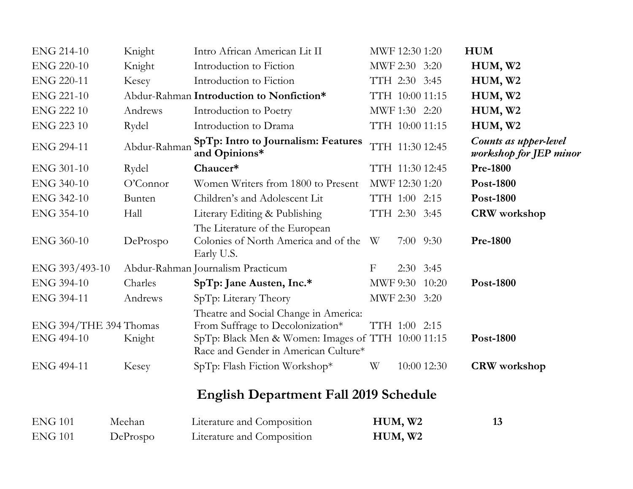| <b>ENG 214-10</b>                    | Knight       | Intro African American Lit II                                                                                                                                           | MWF 12:30 1:20   |               |                 | <b>HUM</b>                                      |
|--------------------------------------|--------------|-------------------------------------------------------------------------------------------------------------------------------------------------------------------------|------------------|---------------|-----------------|-------------------------------------------------|
| <b>ENG 220-10</b>                    | Knight       | Introduction to Fiction                                                                                                                                                 | MWF 2:30 3:20    |               |                 | HUM, W <sub>2</sub>                             |
| <b>ENG 220-11</b>                    | Kesey        | Introduction to Fiction                                                                                                                                                 | TTH 2:30 3:45    |               |                 | HUM, W2                                         |
| <b>ENG 221-10</b>                    |              | Abdur-Rahman Introduction to Nonfiction*                                                                                                                                | TTH 10:00 11:15  |               |                 | HUM, W2                                         |
| <b>ENG 222 10</b>                    | Andrews      | Introduction to Poetry                                                                                                                                                  | MWF 1:30 2:20    |               |                 | HUM, W2                                         |
| <b>ENG 223 10</b>                    | Rydel        | Introduction to Drama                                                                                                                                                   |                  |               | TTH 10:00 11:15 | HUM, W2                                         |
| <b>ENG 294-11</b>                    | Abdur-Rahman | SpTp: Intro to Journalism: Features<br>and Opinions*                                                                                                                    |                  |               | TTH 11:30 12:45 | Counts as upper-level<br>workshop for JEP minor |
| <b>ENG 301-10</b>                    | Rydel        | Chaucer*                                                                                                                                                                |                  |               | TTH 11:30 12:45 | <b>Pre-1800</b>                                 |
| ENG 340-10                           | O'Connor     | Women Writers from 1800 to Present                                                                                                                                      | MWF 12:30 1:20   |               |                 | Post-1800                                       |
| <b>ENG 342-10</b>                    | Bunten       | Children's and Adolescent Lit                                                                                                                                           | TTH 1:00 2:15    |               |                 | <b>Post-1800</b>                                |
| <b>ENG 354-10</b>                    | Hall         | Literary Editing & Publishing                                                                                                                                           | TTH 2:30 3:45    |               |                 | <b>CRW</b> workshop                             |
| <b>ENG 360-10</b>                    | DeProspo     | The Literature of the European<br>Colonies of North America and of the<br>Early U.S.                                                                                    | W                | $7:00$ $9:30$ |                 | <b>Pre-1800</b>                                 |
| ENG 393/493-10                       |              | Abdur-Rahman Journalism Practicum                                                                                                                                       | $\boldsymbol{F}$ | $2:30$ 3:45   |                 |                                                 |
| <b>ENG 394-10</b>                    | Charles      | SpTp: Jane Austen, Inc.*                                                                                                                                                |                  |               | MWF 9:30 10:20  | Post-1800                                       |
| ENG 394-11                           | Andrews      | SpTp: Literary Theory                                                                                                                                                   | MWF 2:30 3:20    |               |                 |                                                 |
| ENG 394/THE 394 Thomas<br>ENG 494-10 | Knight       | Theatre and Social Change in America:<br>From Suffrage to Decolonization*<br>SpTp: Black Men & Women: Images of TTH 10:00 11:15<br>Race and Gender in American Culture* | TTH 1:00 2:15    |               |                 | Post-1800                                       |
| ENG 494-11                           | Kesey        | SpTp: Flash Fiction Workshop*                                                                                                                                           | W                |               | 10:00 12:30     | <b>CRW</b> workshop                             |
|                                      |              | <b>English Department Fall 2019 Schedule</b>                                                                                                                            |                  |               |                 |                                                 |

| <b>ENG 101</b> | Meehan   | Literature and Composition | HUM, W2 |  |
|----------------|----------|----------------------------|---------|--|
| ENG 101        | DeProspo | Literature and Composition | HUM, W2 |  |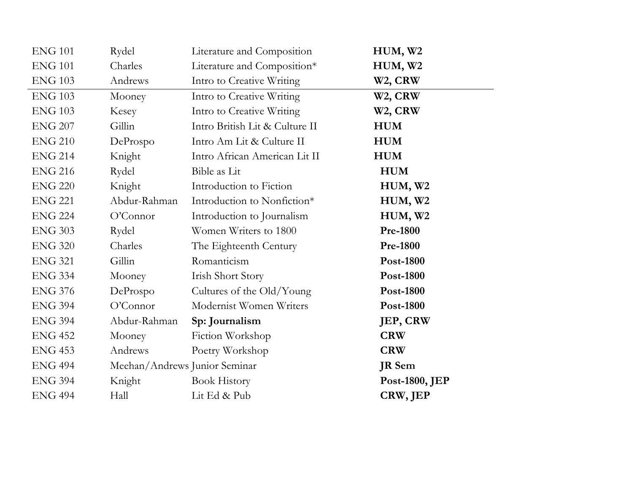| <b>ENG 101</b> | Rydel                         | Literature and Composition     | HUM, W2              |
|----------------|-------------------------------|--------------------------------|----------------------|
| <b>ENG 101</b> | Charles                       | Literature and Composition*    | HUM, W2              |
| <b>ENG 103</b> | Andrews                       | Intro to Creative Writing      | W <sub>2</sub> , CRW |
| <b>ENG 103</b> | Mooney                        | Intro to Creative Writing      | W <sub>2</sub> , CRW |
| <b>ENG 103</b> | Kesey                         | Intro to Creative Writing      | W <sub>2</sub> , CRW |
| <b>ENG 207</b> | Gillin                        | Intro British Lit & Culture II | <b>HUM</b>           |
| <b>ENG 210</b> | DeProspo                      | Intro Am Lit & Culture II      | <b>HUM</b>           |
| <b>ENG 214</b> | Knight                        | Intro African American Lit II  | <b>HUM</b>           |
| <b>ENG 216</b> | Rydel                         | Bible as Lit                   | <b>HUM</b>           |
| <b>ENG 220</b> | Knight                        | Introduction to Fiction        | HUM, W2              |
| <b>ENG 221</b> | Abdur-Rahman                  | Introduction to Nonfiction*    | HUM, W2              |
| <b>ENG 224</b> | O'Connor                      | Introduction to Journalism     | HUM, W <sub>2</sub>  |
| <b>ENG 303</b> | Rydel                         | Women Writers to 1800          | <b>Pre-1800</b>      |
| <b>ENG 320</b> | Charles                       | The Eighteenth Century         | <b>Pre-1800</b>      |
| <b>ENG 321</b> | Gillin                        | Romanticism                    | Post-1800            |
| <b>ENG 334</b> | Mooney                        | Irish Short Story              | Post-1800            |
| <b>ENG 376</b> | DeProspo                      | Cultures of the Old/Young      | Post-1800            |
| <b>ENG 394</b> | O'Connor                      | Modernist Women Writers        | <b>Post-1800</b>     |
| <b>ENG 394</b> | Abdur-Rahman                  | Sp: Journalism                 | JEP, CRW             |
| <b>ENG 452</b> | Mooney                        | Fiction Workshop               | <b>CRW</b>           |
| <b>ENG 453</b> | Andrews                       | Poetry Workshop                | <b>CRW</b>           |
| <b>ENG 494</b> | Meehan/Andrews Junior Seminar |                                | <b>JR</b> Sem        |
| <b>ENG 394</b> | Knight                        | <b>Book History</b>            | Post-1800, JEP       |
| <b>ENG 494</b> | Hall                          | Lit Ed & Pub                   | CRW, JEP             |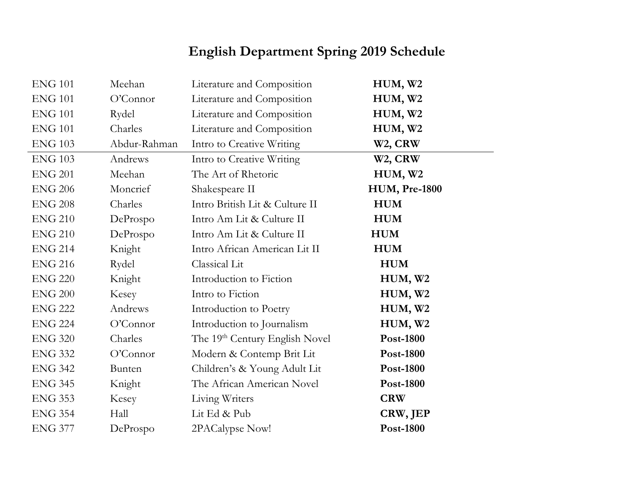#### **English Department Spring 2019 Schedule**

| <b>ENG 101</b> | Meehan       | Literature and Composition     | HUM, W2              |
|----------------|--------------|--------------------------------|----------------------|
| <b>ENG 101</b> | O'Connor     | Literature and Composition     | HUM, W2              |
| <b>ENG 101</b> | Rydel        | Literature and Composition     | HUM, W2              |
| <b>ENG 101</b> | Charles      | Literature and Composition     | HUM, W2              |
| <b>ENG 103</b> | Abdur-Rahman | Intro to Creative Writing      | W <sub>2</sub> , CRW |
| <b>ENG 103</b> | Andrews      | Intro to Creative Writing      | W <sub>2</sub> , CRW |
| <b>ENG 201</b> | Meehan       | The Art of Rhetoric            | HUM, W2              |
| <b>ENG 206</b> | Moncrief     | Shakespeare II                 | <b>HUM, Pre-1800</b> |
| <b>ENG 208</b> | Charles      | Intro British Lit & Culture II | <b>HUM</b>           |
| <b>ENG 210</b> | DeProspo     | Intro Am Lit & Culture II      | <b>HUM</b>           |
| <b>ENG 210</b> | DeProspo     | Intro Am Lit & Culture II      | <b>HUM</b>           |
| <b>ENG 214</b> | Knight       | Intro African American Lit II  | <b>HUM</b>           |
| <b>ENG 216</b> | Rydel        | Classical Lit                  | <b>HUM</b>           |
| <b>ENG 220</b> | Knight       | Introduction to Fiction        | HUM, W2              |
| <b>ENG 200</b> | Kesey        | Intro to Fiction               | HUM, W2              |
| <b>ENG 222</b> | Andrews      | Introduction to Poetry         | HUM, W2              |
| <b>ENG 224</b> | O'Connor     | Introduction to Journalism     | HUM, W2              |
| <b>ENG 320</b> | Charles      | The 19th Century English Novel | Post-1800            |
| <b>ENG 332</b> | O'Connor     | Modern & Contemp Brit Lit      | <b>Post-1800</b>     |
| <b>ENG 342</b> | Bunten       | Children's & Young Adult Lit   | <b>Post-1800</b>     |
| <b>ENG 345</b> | Knight       | The African American Novel     | Post-1800            |
| <b>ENG 353</b> | Kesey        | Living Writers                 | <b>CRW</b>           |
| <b>ENG 354</b> | Hall         | Lit Ed & Pub                   | CRW, JEP             |
| <b>ENG 377</b> | DeProspo     | 2PACalypse Now!                | Post-1800            |
|                |              |                                |                      |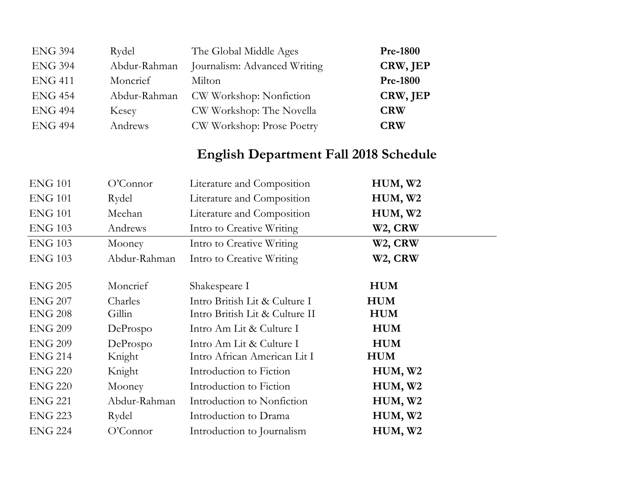| <b>ENG 394</b> | Rydel        | The Global Middle Ages       | <b>Pre-1800</b> |
|----------------|--------------|------------------------------|-----------------|
| <b>ENG 394</b> | Abdur-Rahman | Journalism: Advanced Writing | CRW, JEP        |
| <b>ENG 411</b> | Moncrief     | Milton                       | <b>Pre-1800</b> |
| <b>ENG 454</b> | Abdur-Rahman | CW Workshop: Nonfiction      | CRW, JEP        |
| <b>ENG 494</b> | Kesey        | CW Workshop: The Novella     | <b>CRW</b>      |
| <b>ENG 494</b> | Andrews      | CW Workshop: Prose Poetry    | <b>CRW</b>      |

#### **English Department Fall 2018 Schedule**

 $\sim$ 

| <b>ENG 101</b> | O'Connect    | Literature and Composition     | HUM, W <sub>2</sub>  |
|----------------|--------------|--------------------------------|----------------------|
| <b>ENG 101</b> | Rydel        | Literature and Composition     | HUM, W2              |
| <b>ENG 101</b> | Meehan       | Literature and Composition     | HUM, W <sub>2</sub>  |
| <b>ENG 103</b> | Andrews      | Intro to Creative Writing      | W <sub>2</sub> , CRW |
| <b>ENG 103</b> | Mooney       | Intro to Creative Writing      | W <sub>2</sub> , CRW |
| <b>ENG 103</b> | Abdur-Rahman | Intro to Creative Writing      | W <sub>2</sub> , CRW |
| <b>ENG 205</b> | Moncrief     | Shakespeare I                  | <b>HUM</b>           |
| <b>ENG 207</b> | Charles      | Intro British Lit & Culture I  | <b>HUM</b>           |
| <b>ENG 208</b> | Gillin       | Intro British Lit & Culture II | <b>HUM</b>           |
| <b>ENG 209</b> | DeProspo     | Intro Am Lit & Culture I       | <b>HUM</b>           |
| <b>ENG 209</b> | DeProspo     | Intro Am Lit & Culture I       | <b>HUM</b>           |
| <b>ENG 214</b> | Knight       | Intro African American Lit I   | <b>HUM</b>           |
| <b>ENG 220</b> | Knight       | Introduction to Fiction        | HUM, W2              |
| <b>ENG 220</b> | Mooney       | Introduction to Fiction        | HUM, W2              |
| <b>ENG 221</b> | Abdur-Rahman | Introduction to Nonfiction     | HUM, W2              |
| <b>ENG 223</b> | Rydel        | Introduction to Drama          | HUM, W2              |
| <b>ENG 224</b> | O'Connect    | Introduction to Journalism     | HUM, W2              |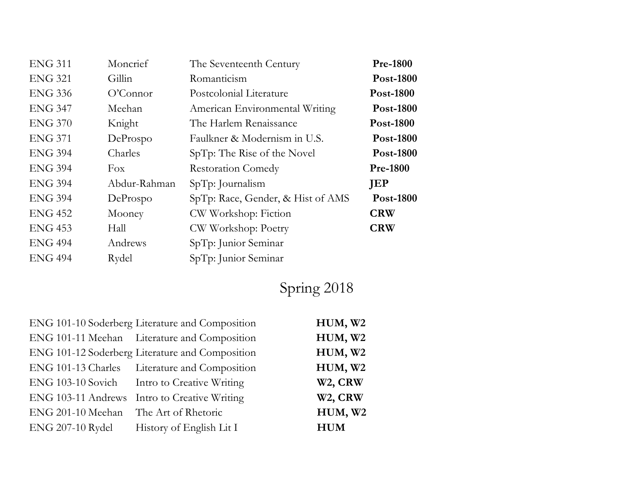| <b>ENG 311</b> | Moncrief     | The Seventeenth Century           | <b>Pre-1800</b>  |
|----------------|--------------|-----------------------------------|------------------|
| <b>ENG 321</b> | Gillin       | Romanticism                       | <b>Post-1800</b> |
| <b>ENG 336</b> | O'Connor     | Postcolonial Literature           | <b>Post-1800</b> |
| <b>ENG 347</b> | Meehan       | American Environmental Writing    | <b>Post-1800</b> |
| <b>ENG 370</b> | Knight       | The Harlem Renaissance            | <b>Post-1800</b> |
| <b>ENG 371</b> | DeProspo     | Faulkner & Modernism in U.S.      | <b>Post-1800</b> |
| <b>ENG 394</b> | Charles      | SpTp: The Rise of the Novel       | <b>Post-1800</b> |
| <b>ENG 394</b> | Fox          | <b>Restoration Comedy</b>         | <b>Pre-1800</b>  |
| <b>ENG 394</b> | Abdur-Rahman | $SpTp:$ Journalism                | JEP              |
| <b>ENG 394</b> | DeProspo     | SpTp: Race, Gender, & Hist of AMS | <b>Post-1800</b> |
| <b>ENG 452</b> | Mooney       | CW Workshop: Fiction              | <b>CRW</b>       |
| <b>ENG 453</b> | Hall         | CW Workshop: Poetry               | <b>CRW</b>       |
| <b>ENG 494</b> | Andrews      | SpTp: Junior Seminar              |                  |
| <b>ENG 494</b> | Rydel        | SpTp: Junior Seminar              |                  |
|                |              |                                   |                  |

# Spring 2018

|                                       | ENG 101-10 Soderberg Literature and Composition | HUM, W2    |
|---------------------------------------|-------------------------------------------------|------------|
|                                       | ENG 101-11 Meehan Literature and Composition    | HUM, W2    |
|                                       | ENG 101-12 Soderberg Literature and Composition | HUM, W2    |
|                                       | ENG 101-13 Charles Literature and Composition   | HUM, W2    |
|                                       | ENG 103-10 Sovich Intro to Creative Writing     | W2, CRW    |
|                                       | ENG 103-11 Andrews Intro to Creative Writing    | W2, CRW    |
| ENG 201-10 Meehan The Art of Rhetoric |                                                 | HUM, W2    |
| ENG 207-10 Rydel                      | History of English Lit I                        | <b>HUM</b> |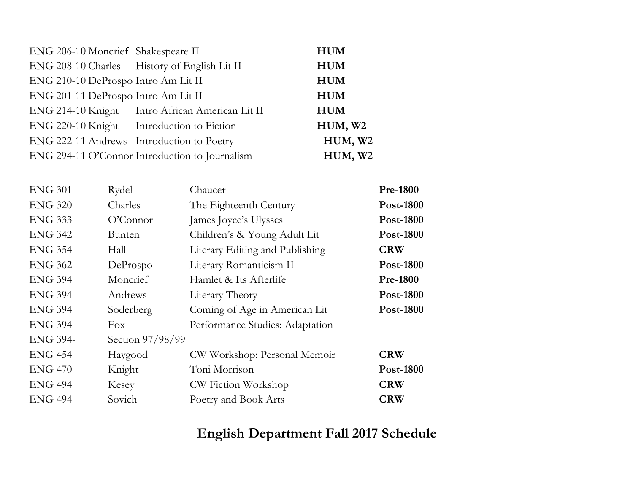| ENG 206-10 Moncrief Shakespeare II        |                                                 | <b>HUM</b>          |
|-------------------------------------------|-------------------------------------------------|---------------------|
|                                           | ENG 208-10 Charles History of English Lit II    | <b>HUM</b>          |
| ENG 210-10 DeProspo Intro Am Lit II       |                                                 | <b>HUM</b>          |
| ENG 201-11 DeProspo Intro Am Lit II       |                                                 | <b>HUM</b>          |
|                                           | ENG 214-10 Knight Intro African American Lit II | <b>HUM</b>          |
| ENG 220-10 Knight Introduction to Fiction |                                                 | HUM, W <sub>2</sub> |
| ENG 222-11 Andrews Introduction to Poetry |                                                 | HUM, W2             |
|                                           | ENG 294-11 O'Connor Introduction to Journalism  | HUM, W2             |

| Rydel            | Chaucer                         | <b>Pre-1800</b>  |
|------------------|---------------------------------|------------------|
| Charles          | The Eighteenth Century          | <b>Post-1800</b> |
| O'Connect        | James Joyce's Ulysses           | <b>Post-1800</b> |
| <b>Bunten</b>    | Children's & Young Adult Lit    | <b>Post-1800</b> |
| Hall             | Literary Editing and Publishing | <b>CRW</b>       |
| DeProspo         | Literary Romanticism II         | <b>Post-1800</b> |
| Moncrief         | Hamlet & Its Afterlife          | <b>Pre-1800</b>  |
| Andrews          | Literary Theory                 | <b>Post-1800</b> |
| Soderberg        | Coming of Age in American Lit   | <b>Post-1800</b> |
| Fox              | Performance Studies: Adaptation |                  |
| Section 97/98/99 |                                 |                  |
| Haygood          | CW Workshop: Personal Memoir    | <b>CRW</b>       |
| Knight           | Toni Morrison                   | <b>Post-1800</b> |
| Kesey            | CW Fiction Workshop             | <b>CRW</b>       |
| Sovich           | Poetry and Book Arts            | <b>CRW</b>       |
|                  |                                 |                  |

#### **English Department Fall 2017 Schedule**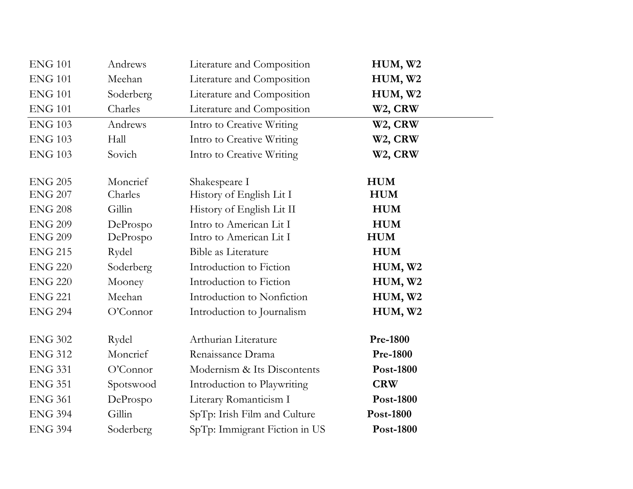| <b>ENG 101</b> | Andrews   | Literature and Composition    | HUM, W2              |
|----------------|-----------|-------------------------------|----------------------|
| <b>ENG 101</b> | Meehan    | Literature and Composition    | HUM, W <sub>2</sub>  |
| <b>ENG 101</b> | Soderberg | Literature and Composition    | HUM, W <sub>2</sub>  |
| <b>ENG 101</b> | Charles   | Literature and Composition    | W <sub>2</sub> , CRW |
| <b>ENG 103</b> | Andrews   | Intro to Creative Writing     | W <sub>2</sub> , CRW |
| <b>ENG 103</b> | Hall      | Intro to Creative Writing     | W <sub>2</sub> , CRW |
| <b>ENG 103</b> | Sovich    | Intro to Creative Writing     | W <sub>2</sub> , CRW |
| <b>ENG 205</b> | Moncrief  | Shakespeare I                 | <b>HUM</b>           |
| <b>ENG 207</b> | Charles   | History of English Lit I      | <b>HUM</b>           |
| <b>ENG 208</b> | Gillin    | History of English Lit II     | <b>HUM</b>           |
| <b>ENG 209</b> | DeProspo  | Intro to American Lit I       | <b>HUM</b>           |
| <b>ENG 209</b> | DeProspo  | Intro to American Lit I       | <b>HUM</b>           |
| <b>ENG 215</b> | Rydel     | Bible as Literature           | <b>HUM</b>           |
| <b>ENG 220</b> | Soderberg | Introduction to Fiction       | HUM, W2              |
| <b>ENG 220</b> | Mooney    | Introduction to Fiction       | HUM, W2              |
| <b>ENG 221</b> | Meehan    | Introduction to Nonfiction    | HUM, W2              |
| <b>ENG 294</b> | O'Connor  | Introduction to Journalism    | HUM, W2              |
| <b>ENG 302</b> | Rydel     | Arthurian Literature          | <b>Pre-1800</b>      |
| <b>ENG 312</b> | Moncrief  | Renaissance Drama             | <b>Pre-1800</b>      |
| <b>ENG 331</b> | O'Connor  | Modernism & Its Discontents   | Post-1800            |
| <b>ENG 351</b> | Spotswood | Introduction to Playwriting   | <b>CRW</b>           |
| <b>ENG 361</b> | DeProspo  | Literary Romanticism I        | Post-1800            |
| <b>ENG 394</b> | Gillin    | SpTp: Irish Film and Culture  | Post-1800            |
| <b>ENG 394</b> | Soderberg | SpTp: Immigrant Fiction in US | Post-1800            |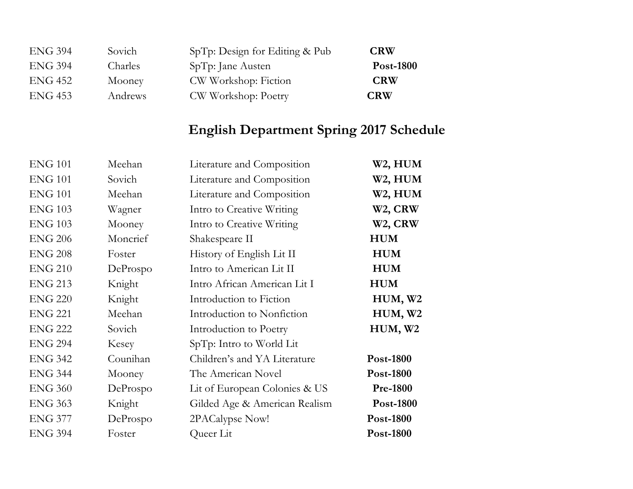| <b>ENG 394</b> | Sovich  | SpTp: Design for Editing & Pub | <b>CRW</b>       |
|----------------|---------|--------------------------------|------------------|
| <b>ENG 394</b> | Charles | SpTp: Jane Austen              | <b>Post-1800</b> |
| <b>ENG 452</b> | Mooney  | CW Workshop: Fiction           | <b>CRW</b>       |
| <b>ENG 453</b> | Andrews | CW Workshop: Poetry            | <b>CRW</b>       |

## **English Department Spring 2017 Schedule**

| <b>ENG 101</b> | Meehan   | Literature and Composition    | W <sub>2</sub> , HUM |
|----------------|----------|-------------------------------|----------------------|
| <b>ENG 101</b> | Sovich   | Literature and Composition    | W <sub>2</sub> , HUM |
| <b>ENG 101</b> | Meehan   | Literature and Composition    | W <sub>2</sub> , HUM |
| <b>ENG 103</b> | Wagner   | Intro to Creative Writing     | W <sub>2</sub> , CRW |
| <b>ENG 103</b> | Mooney   | Intro to Creative Writing     | W <sub>2</sub> , CRW |
| <b>ENG 206</b> | Moncrief | Shakespeare II                | <b>HUM</b>           |
| <b>ENG 208</b> | Foster   | History of English Lit II     | <b>HUM</b>           |
| <b>ENG 210</b> | DeProspo | Intro to American Lit II      | <b>HUM</b>           |
| <b>ENG 213</b> | Knight   | Intro African American Lit I  | <b>HUM</b>           |
| <b>ENG 220</b> | Knight   | Introduction to Fiction       | HUM, W2              |
| <b>ENG 221</b> | Meehan   | Introduction to Nonfiction    | HUM, W <sub>2</sub>  |
| <b>ENG 222</b> | Sovich   | Introduction to Poetry        | HUM, W2              |
| <b>ENG 294</b> | Kesey    | SpTp: Intro to World Lit      |                      |
| <b>ENG 342</b> | Counihan | Children's and YA Literature  | Post-1800            |
| <b>ENG 344</b> | Mooney   | The American Novel            | Post-1800            |
| <b>ENG 360</b> | DeProspo | Lit of European Colonies & US | <b>Pre-1800</b>      |
| <b>ENG 363</b> | Knight   | Gilded Age & American Realism | <b>Post-1800</b>     |
| <b>ENG 377</b> | DeProspo | 2PACalypse Now!               | Post-1800            |
| <b>ENG 394</b> | Foster   | Queer Lit                     | Post-1800            |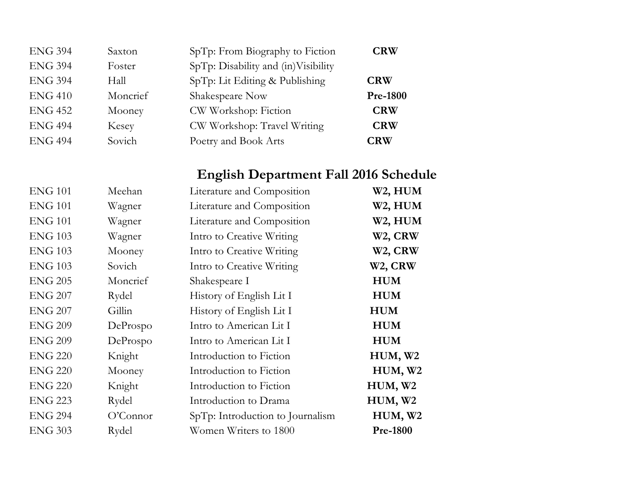| <b>ENG 394</b> | Saxton   | SpTp: From Biography to Fiction     | <b>CRW</b>      |
|----------------|----------|-------------------------------------|-----------------|
| <b>ENG 394</b> | Foster   | SpTp: Disability and (in)Visibility |                 |
| <b>ENG 394</b> | Hall     | SpTp: Lit Editing & Publishing      | <b>CRW</b>      |
| <b>ENG 410</b> | Moncrief | Shakespeare Now                     | <b>Pre-1800</b> |
| <b>ENG 452</b> | Mooney   | CW Workshop: Fiction                | <b>CRW</b>      |
| <b>ENG 494</b> | Kesey    | CW Workshop: Travel Writing         | <b>CRW</b>      |
| <b>ENG 494</b> | Sovich   | Poetry and Book Arts                | <b>CRW</b>      |

## **English Department Fall 2016 Schedule**

| <b>ENG 101</b> | Meehan    | Literature and Composition       | W2, HUM              |
|----------------|-----------|----------------------------------|----------------------|
| <b>ENG 101</b> | Wagner    | Literature and Composition       | W <sub>2</sub> , HUM |
| <b>ENG 101</b> | Wagner    | Literature and Composition       | W2, HUM              |
| <b>ENG 103</b> | Wagner    | Intro to Creative Writing        | W <sub>2</sub> , CRW |
| <b>ENG 103</b> | Mooney    | Intro to Creative Writing        | W <sub>2</sub> , CRW |
| <b>ENG 103</b> | Sovich    | Intro to Creative Writing        | W <sub>2</sub> , CRW |
| <b>ENG 205</b> | Moncrief  | Shakespeare I                    | <b>HUM</b>           |
| <b>ENG 207</b> | Rydel     | History of English Lit I         | <b>HUM</b>           |
| <b>ENG 207</b> | Gillin    | History of English Lit I         | <b>HUM</b>           |
| <b>ENG 209</b> | DeProspo  | Intro to American Lit I          | <b>HUM</b>           |
| <b>ENG 209</b> | DeProspo  | Intro to American Lit I          | <b>HUM</b>           |
| <b>ENG 220</b> | Knight    | Introduction to Fiction          | HUM, W2              |
| <b>ENG 220</b> | Mooney    | Introduction to Fiction          | HUM, W <sub>2</sub>  |
| <b>ENG 220</b> | Knight    | Introduction to Fiction          | HUM, W <sub>2</sub>  |
| <b>ENG 223</b> | Rydel     | Introduction to Drama            | HUM, W2              |
| <b>ENG 294</b> | O'Connect | SpTp: Introduction to Journalism | HUM, W2              |
| <b>ENG 303</b> | Rydel     | Women Writers to 1800            | <b>Pre-1800</b>      |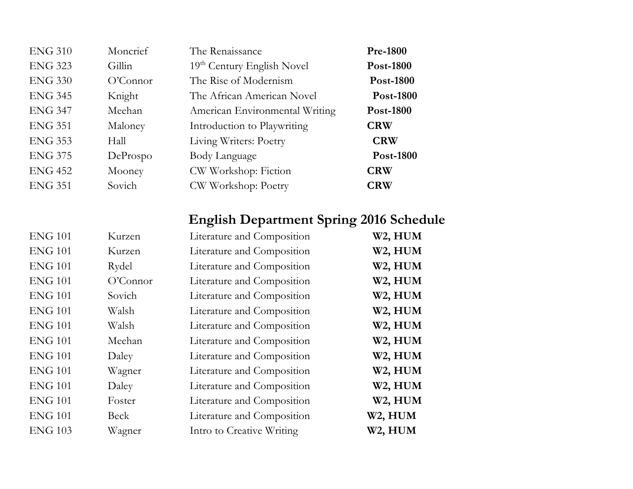| <b>ENG 310</b> | Moncrief  | The Renaissance                        | <b>Pre-1800</b>  |
|----------------|-----------|----------------------------------------|------------------|
| <b>ENG 323</b> | Gillin    | 19 <sup>th</sup> Century English Novel | <b>Post-1800</b> |
| <b>ENG 330</b> | O'Connect | The Rise of Modernism                  | <b>Post-1800</b> |
| <b>ENG 345</b> | Knight    | The African American Novel             | <b>Post-1800</b> |
| <b>ENG 347</b> | Meehan    | American Environmental Writing         | <b>Post-1800</b> |
| <b>ENG 351</b> | Maloney   | Introduction to Playwriting            | <b>CRW</b>       |
| <b>ENG 353</b> | Hall      | Living Writers: Poetry                 | <b>CRW</b>       |
| <b>ENG 375</b> | DeProspo  | Body Language                          | <b>Post-1800</b> |
| <b>ENG 452</b> | Mooney    | CW Workshop: Fiction                   | <b>CRW</b>       |
| <b>ENG 351</b> | Sovich    | CW Workshop: Poetry                    | <b>CRW</b>       |

#### **English Department Spring 2016 Schedule**

| <b>ENG 101</b> | Kurzen    | Literature and Composition | W <sub>2</sub> , HUM |
|----------------|-----------|----------------------------|----------------------|
| <b>ENG 101</b> | Kurzen    | Literature and Composition | W <sub>2</sub> , HUM |
| <b>ENG 101</b> | Rydel     | Literature and Composition | W <sub>2</sub> , HUM |
| <b>ENG 101</b> | O'Connect | Literature and Composition | W <sub>2</sub> , HUM |
| <b>ENG 101</b> | Sovich    | Literature and Composition | W2, HUM              |
| <b>ENG 101</b> | Walsh     | Literature and Composition | W <sub>2</sub> , HUM |
| <b>ENG 101</b> | Walsh     | Literature and Composition | W <sub>2</sub> , HUM |
| <b>ENG 101</b> | Meehan    | Literature and Composition | W <sub>2</sub> , HUM |
| <b>ENG 101</b> | Daley     | Literature and Composition | W <sub>2</sub> , HUM |
| <b>ENG 101</b> | Wagner    | Literature and Composition | W <sub>2</sub> , HUM |
| <b>ENG 101</b> | Daley     | Literature and Composition | W <sub>2</sub> , HUM |
| <b>ENG 101</b> | Foster    | Literature and Composition | W <sub>2</sub> , HUM |
| <b>ENG 101</b> | Beck      | Literature and Composition | W <sub>2</sub> , HUM |
| <b>ENG 103</b> | Wagner    | Intro to Creative Writing  | W2, HUM              |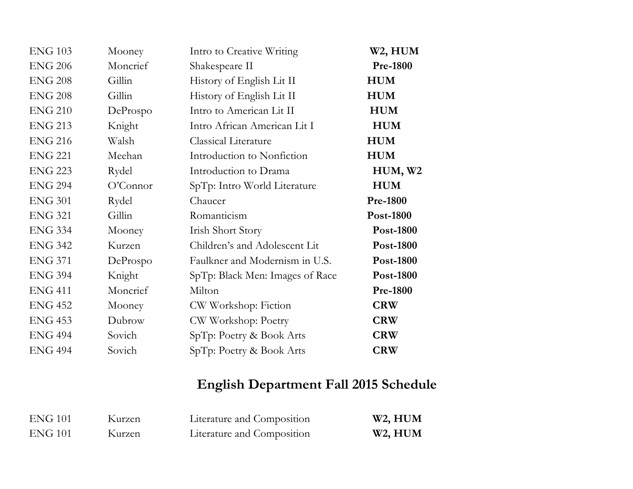| <b>ENG 103</b> | Mooney   | Intro to Creative Writing       | W2, HUM             |
|----------------|----------|---------------------------------|---------------------|
| <b>ENG 206</b> | Moncrief | Shakespeare II                  | <b>Pre-1800</b>     |
| <b>ENG 208</b> | Gillin   | History of English Lit II       | <b>HUM</b>          |
| <b>ENG 208</b> | Gillin   | History of English Lit II       | <b>HUM</b>          |
| <b>ENG 210</b> | DeProspo | Intro to American Lit II        | <b>HUM</b>          |
| <b>ENG 213</b> | Knight   | Intro African American Lit I    | <b>HUM</b>          |
| <b>ENG 216</b> | Walsh    | <b>Classical Literature</b>     | <b>HUM</b>          |
| <b>ENG 221</b> | Meehan   | Introduction to Nonfiction      | <b>HUM</b>          |
| <b>ENG 223</b> | Rydel    | Introduction to Drama           | HUM, W <sub>2</sub> |
| <b>ENG 294</b> | O'Connor | SpTp: Intro World Literature    | <b>HUM</b>          |
| <b>ENG 301</b> | Rydel    | Chaucer                         | <b>Pre-1800</b>     |
| <b>ENG 321</b> | Gillin   | Romanticism                     | Post-1800           |
| <b>ENG 334</b> | Mooney   | <b>Irish Short Story</b>        | Post-1800           |
| <b>ENG 342</b> | Kurzen   | Children's and Adolescent Lit   | <b>Post-1800</b>    |
| <b>ENG 371</b> | DeProspo | Faulkner and Modernism in U.S.  | <b>Post-1800</b>    |
| <b>ENG 394</b> | Knight   | SpTp: Black Men: Images of Race | Post-1800           |
| <b>ENG 411</b> | Moncrief | Milton                          | <b>Pre-1800</b>     |
| <b>ENG 452</b> | Mooney   | CW Workshop: Fiction            | <b>CRW</b>          |
| <b>ENG 453</b> | Dubrow   | CW Workshop: Poetry             | <b>CRW</b>          |
| <b>ENG 494</b> | Sovich   | SpTp: Poetry & Book Arts        | <b>CRW</b>          |
| <b>ENG 494</b> | Sovich   | SpTp: Poetry & Book Arts        | <b>CRW</b>          |
|                |          |                                 |                     |

## **English Department Fall 2015 Schedule**

| <b>ENG 101</b> | Kurzen | Literature and Composition | W <sub>2</sub> , HUM |
|----------------|--------|----------------------------|----------------------|
| ENG 101        | Kurzen | Literature and Composition | W <sub>2</sub> , HUM |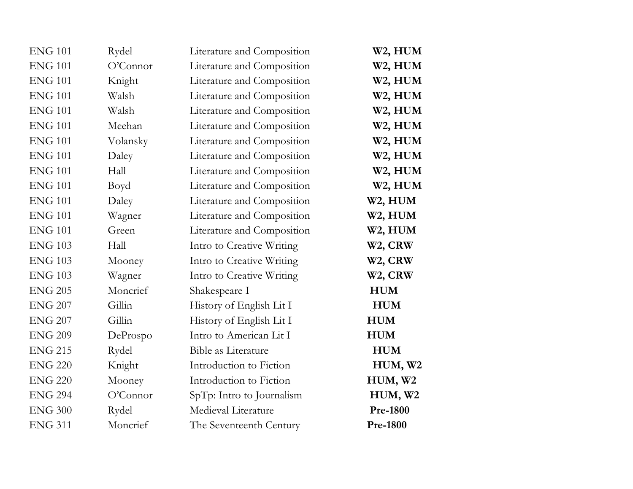| <b>ENG 101</b> | Rydel    | Literature and Composition | W <sub>2</sub> , HUM |
|----------------|----------|----------------------------|----------------------|
| <b>ENG 101</b> | O'Connor | Literature and Composition | W <sub>2</sub> , HUM |
| <b>ENG 101</b> | Knight   | Literature and Composition | W <sub>2</sub> , HUM |
| <b>ENG 101</b> | Walsh    | Literature and Composition | W <sub>2</sub> , HUM |
| <b>ENG 101</b> | Walsh    | Literature and Composition | W <sub>2</sub> , HUM |
| <b>ENG 101</b> | Meehan   | Literature and Composition | W2, HUM              |
| <b>ENG 101</b> | Volansky | Literature and Composition | W <sub>2</sub> , HUM |
| <b>ENG 101</b> | Daley    | Literature and Composition | W2, HUM              |
| <b>ENG 101</b> | Hall     | Literature and Composition | W <sub>2</sub> , HUM |
| <b>ENG 101</b> | Boyd     | Literature and Composition | W2, HUM              |
| <b>ENG 101</b> | Daley    | Literature and Composition | W2, HUM              |
| <b>ENG 101</b> | Wagner   | Literature and Composition | W2, HUM              |
| <b>ENG 101</b> | Green    | Literature and Composition | W2, HUM              |
| <b>ENG 103</b> | Hall     | Intro to Creative Writing  | W <sub>2</sub> , CRW |
| <b>ENG 103</b> | Mooney   | Intro to Creative Writing  | W <sub>2</sub> , CRW |
| <b>ENG 103</b> | Wagner   | Intro to Creative Writing  | W <sub>2</sub> , CRW |
| <b>ENG 205</b> | Moncrief | Shakespeare I              | <b>HUM</b>           |
| <b>ENG 207</b> | Gillin   | History of English Lit I   | <b>HUM</b>           |
| <b>ENG 207</b> | Gillin   | History of English Lit I   | <b>HUM</b>           |
| <b>ENG 209</b> | DeProspo | Intro to American Lit I    | <b>HUM</b>           |
| <b>ENG 215</b> | Rydel    | <b>Bible as Literature</b> | <b>HUM</b>           |
| <b>ENG 220</b> | Knight   | Introduction to Fiction    | HUM, W2              |
| <b>ENG 220</b> | Mooney   | Introduction to Fiction    | HUM, W2              |
| <b>ENG 294</b> | O'Connor | SpTp: Intro to Journalism  | HUM, W2              |
| <b>ENG 300</b> | Rydel    | Medieval Literature        | <b>Pre-1800</b>      |
| <b>ENG 311</b> | Moncrief | The Seventeenth Century    | <b>Pre-1800</b>      |
|                |          |                            |                      |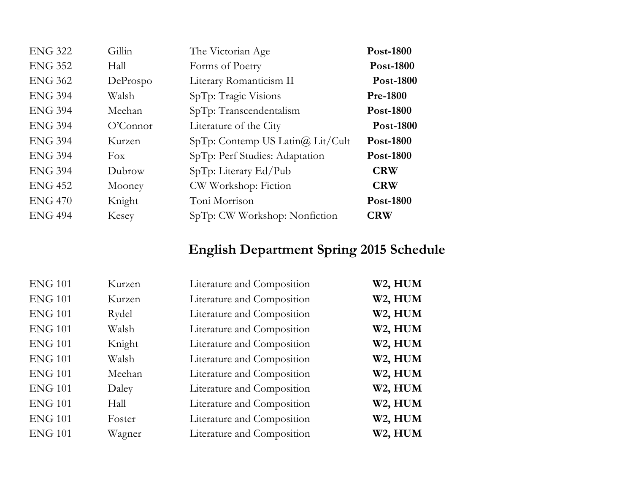| <b>ENG 322</b> | Gillin    | The Victorian Age                     | Post-1800        |
|----------------|-----------|---------------------------------------|------------------|
| <b>ENG 352</b> | Hall      | Forms of Poetry                       | Post-1800        |
| <b>ENG 362</b> | DeProspo  | Literary Romanticism II               | <b>Post-1800</b> |
| <b>ENG 394</b> | Walsh     | SpTp: Tragic Visions                  | <b>Pre-1800</b>  |
| <b>ENG 394</b> | Meehan    | SpTp: Transcendentalism               | <b>Post-1800</b> |
| <b>ENG 394</b> | O'Connect | Literature of the City                | <b>Post-1800</b> |
| <b>ENG 394</b> | Kurzen    | $SpTp:$ Contemp US Latin $@$ Lit/Cult | <b>Post-1800</b> |
| <b>ENG 394</b> | Fox       | SpTp: Perf Studies: Adaptation        | <b>Post-1800</b> |
| <b>ENG 394</b> | Dubrow    | SpTp: Literary Ed/Pub                 | <b>CRW</b>       |
| <b>ENG 452</b> | Mooney    | CW Workshop: Fiction                  | <b>CRW</b>       |
| <b>ENG 470</b> | Knight    | Toni Morrison                         | <b>Post-1800</b> |
| <b>ENG 494</b> | Kesey     | SpTp: CW Workshop: Nonfiction         | <b>CRW</b>       |

## **English Department Spring 2015 Schedule**

| <b>ENG 101</b> | Kurzen | Literature and Composition | W2, HUM              |
|----------------|--------|----------------------------|----------------------|
| <b>ENG 101</b> | Kurzen | Literature and Composition | W2, HUM              |
| <b>ENG 101</b> | Rydel  | Literature and Composition | W2, HUM              |
| <b>ENG 101</b> | Walsh  | Literature and Composition | W2, HUM              |
| <b>ENG 101</b> | Knight | Literature and Composition | W <sub>2</sub> , HUM |
| <b>ENG 101</b> | Walsh  | Literature and Composition | W2, HUM              |
| <b>ENG 101</b> | Meehan | Literature and Composition | W <sub>2</sub> , HUM |
| <b>ENG 101</b> | Daley  | Literature and Composition | W2, HUM              |
| <b>ENG 101</b> | Hall   | Literature and Composition | W2, HUM              |
| <b>ENG 101</b> | Foster | Literature and Composition | W2, HUM              |
| <b>ENG 101</b> | Wagner | Literature and Composition | W2, HUM              |